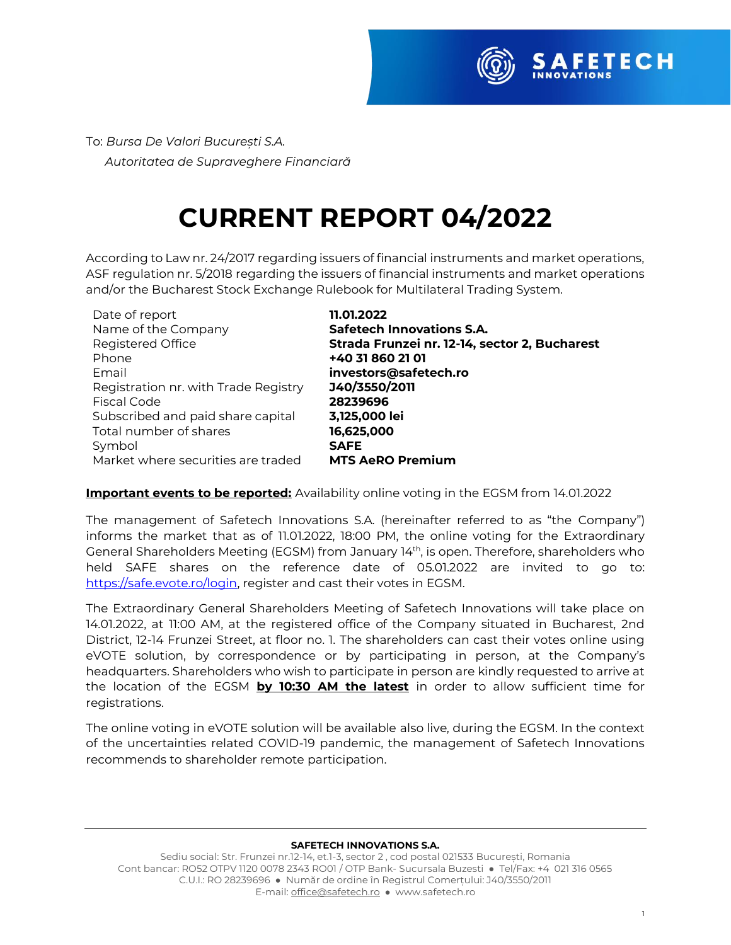

To: *Bursa De Valori București S.A. Autoritatea de Supraveghere Financiară* 

## **CURRENT REPORT 04/2022**

According to Law nr. 24/2017 regarding issuers of financial instruments and market operations, ASF regulation nr. 5/2018 regarding the issuers of financial instruments and market operations and/or the Bucharest Stock Exchange Rulebook for Multilateral Trading System.

| Date of report                       | 11.01.2022                                    |
|--------------------------------------|-----------------------------------------------|
| Name of the Company                  | <b>Safetech Innovations S.A.</b>              |
| Registered Office                    | Strada Frunzei nr. 12-14, sector 2, Bucharest |
| Phone                                | +40 31 860 21 01                              |
| Email                                | investors@safetech.ro                         |
| Registration nr. with Trade Registry | J40/3550/2011                                 |
| Fiscal Code                          | 28239696                                      |
| Subscribed and paid share capital    | 3,125,000 lei                                 |
| Total number of shares               | 16,625,000                                    |
| Symbol                               | <b>SAFE</b>                                   |
| Market where securities are traded   | <b>MTS AeRO Premium</b>                       |
|                                      |                                               |

## **Important events to be reported:** Availability online voting in the EGSM from 14.01.2022

The management of Safetech Innovations S.A. (hereinafter referred to as "the Company") informs the market that as of 11.01.2022, 18:00 PM, the online voting for the Extraordinary General Shareholders Meeting (EGSM) from January 14th , is open. Therefore, shareholders who held SAFE shares on the reference date of 05.01.2022 are invited to go to: [https://safe.evote.ro/login,](https://safe.evote.ro/login) register and cast their votes in EGSM.

The Extraordinary General Shareholders Meeting of Safetech Innovations will take place on 14.01.2022, at 11:00 AM, at the registered office of the Company situated in Bucharest, 2nd District, 12-14 Frunzei Street, at floor no. 1. The shareholders can cast their votes online using eVOTE solution, by correspondence or by participating in person, at the Company's headquarters. Shareholders who wish to participate in person are kindly requested to arrive at the location of the EGSM **by 10:30 AM the latest** in order to allow sufficient time for registrations.

The online voting in eVOTE solution will be available also live, during the EGSM. In the context of the uncertainties related COVID-19 pandemic, the management of Safetech Innovations recommends to shareholder remote participation.

## **SAFETECH INNOVATIONS S.A.**

Sediu social: Str. Frunzei nr.12-14, et.1-3, sector 2 , cod postal 021533 București, Romania Cont bancar: RO52 OTPV 1120 0078 2343 RO01 / OTP Bank- Sucursala Buzesti ● Tel/Fax: +4 021 316 0565 C.U.I.: RO 28239696 ● Număr de ordine în Registrul Comerțului: J40/3550/2011 E-mail[: office@safetech.ro](mailto:office@safetech.ro) ● www.safetech.ro